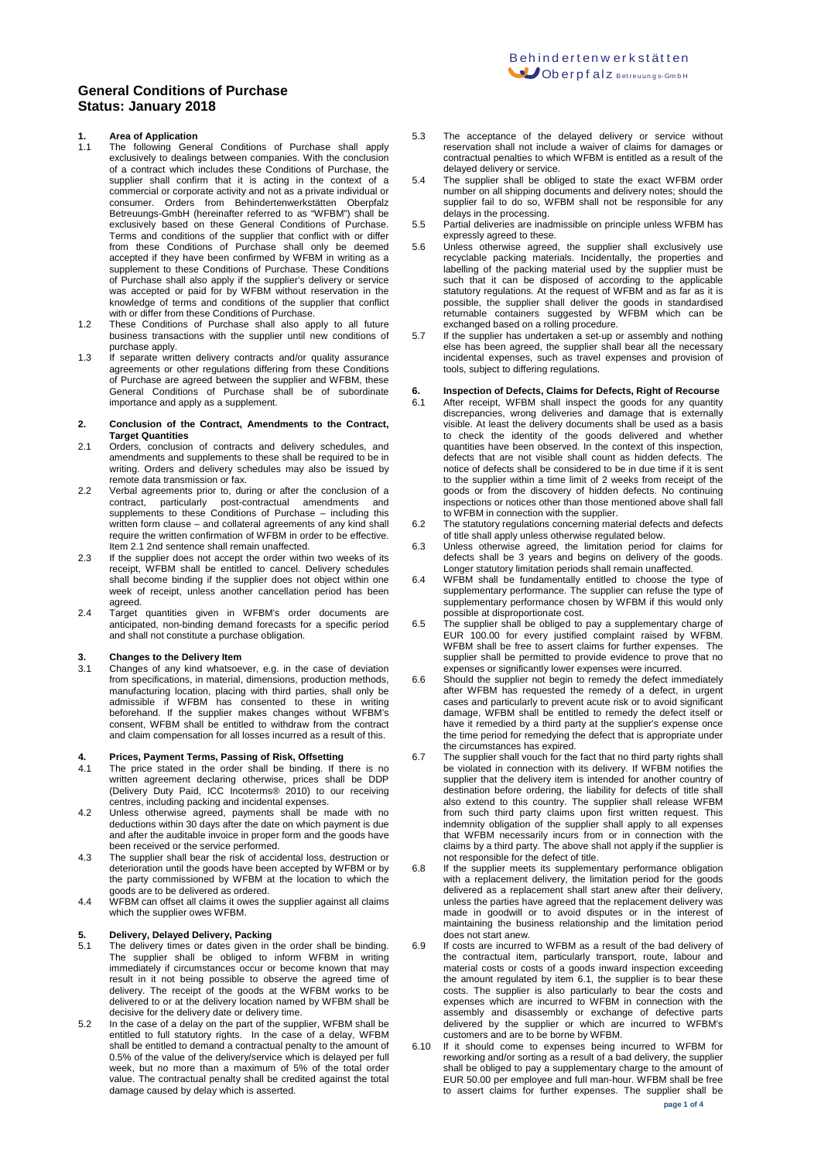# **1. Area of Application**

- 1.1 The following General Conditions of Purchase shall apply exclusively to dealings between companies. With the conclusion of a contract which includes these Conditions of Purchase, the supplier shall confirm that it is acting in the context of a commercial or corporate activity and not as a private individual or consumer. Orders from Behindertenwerkstätten Oberpfalz Betreuungs-GmbH (hereinafter referred to as "WFBM") shall be exclusively based on these General Conditions of Purchase. Terms and conditions of the supplier that conflict with or differ from these Conditions of Purchase shall only be deemed accepted if they have been confirmed by WFBM in writing as a supplement to these Conditions of Purchase. These Conditions of Purchase shall also apply if the supplier's delivery or service was accepted or paid for by WFBM without reservation in the knowledge of terms and conditions of the supplier that conflict with or differ from these Conditions of Purchase.
- 1.2 These Conditions of Purchase shall also apply to all future business transactions with the supplier until new conditions of purchase apply.
- 1.3 If separate written delivery contracts and/or quality assurance agreements or other regulations differing from these Conditions of Purchase are agreed between the supplier and WFBM, these General Conditions of Purchase shall be of subordinate importance and apply as a supplement.

#### **2. Conclusion of the Contract, Amendments to the Contract, Target Quantities**

- 2.1 Orders, conclusion of contracts and delivery schedules, and amendments and supplements to these shall be required to be in writing. Orders and delivery schedules may also be issued by remote data transmission or fax.
- 2.2 Verbal agreements prior to, during or after the conclusion of a contract, particularly post-contractual amendments and supplements to these Conditions of Purchase – including this written form clause – and collateral agreements of any kind shall require the written confirmation of WFBM in order to be effective. Item 2.1 2nd sentence shall remain unaffected.
- 2.3 If the supplier does not accept the order within two weeks of its receipt, WFBM shall be entitled to cancel. Delivery schedules shall become binding if the supplier does not object within one week of receipt, unless another cancellation period has been agreed.
- 2.4 Target quantities given in WFBM's order documents are anticipated, non-binding demand forecasts for a specific period and shall not constitute a purchase obligation.

# **3. Changes to the Delivery Item**<br>**3.1** Changes of any kind whatsoe

Changes of any kind whatsoever, e.g. in the case of deviation from specifications, in material, dimensions, production methods, manufacturing location, placing with third parties, shall only be admissible if WFBM has consented to these in writing beforehand. If the supplier makes changes without WFBM's consent, WFBM shall be entitled to withdraw from the contract and claim compensation for all losses incurred as a result of this.

## **4. Prices, Payment Terms, Passing of Risk, Offsetting**

- 4.1 The price stated in the order shall be binding. If there is no written agreement declaring otherwise, prices shall be DDP (Delivery Duty Paid, ICC Incoterms® 2010) to our receiving centres, including packing and incidental expenses.
- 4.2 Unless otherwise agreed, payments shall be made with no deductions within 30 days after the date on which payment is due and after the auditable invoice in proper form and the goods have been received or the service performed.
- 4.3 The supplier shall bear the risk of accidental loss, destruction or deterioration until the goods have been accepted by WFBM or by the party commissioned by WFBM at the location to which the goods are to be delivered as ordered.
- 4.4 WFBM can offset all claims it owes the supplier against all claims which the supplier owes WFBM.

- **5. Delivery, Delayed Delivery, Packing** 5.1 The delivery times or dates given in the order shall be binding. The supplier shall be obliged to inform WFBM in writing immediately if circumstances occur or become known that may result in it not being possible to observe the agreed time of delivery. The receipt of the goods at the WFBM works to be delivered to or at the delivery location named by WFBM shall be decisive for the delivery date or delivery time.
- 5.2 In the case of a delay on the part of the supplier, WFBM shall be entitled to full statutory rights. In the case of a delay, WFBM shall be entitled to demand a contractual penalty to the amount of 0.5% of the value of the delivery/service which is delayed per full week, but no more than a maximum of 5% of the total order value. The contractual penalty shall be credited against the total damage caused by delay which is asserted.
- 5.3 The acceptance of the delayed delivery or service without reservation shall not include a waiver of claims for damages or contractual penalties to which WFBM is entitled as a result of the delayed delivery or service.
- 5.4 The supplier shall be obliged to state the exact WFBM order number on all shipping documents and delivery notes; should the supplier fail to do so, WFBM shall not be responsible for any delays in the processing.
- 5.5 Partial deliveries are inadmissible on principle unless WFBM has expressly agreed to these.
- 5.6 Unless otherwise agreed, the supplier shall exclusively use recyclable packing materials. Incidentally, the properties and labelling of the packing material used by the supplier must be such that it can be disposed of according to the applicable statutory regulations. At the request of WFBM and as far as it is possible, the supplier shall deliver the goods in standardised returnable containers suggested by WFBM which can be exchanged based on a rolling procedure.
- 5.7 If the supplier has undertaken a set-up or assembly and nothing else has been agreed, the supplier shall bear all the necessary incidental expenses, such as travel expenses and provision of tools, subject to differing regulations.

# **6. Inspection of Defects, Claims for Defects, Right of Recourse**

- After receipt, WFBM shall inspect the goods for any quantity discrepancies, wrong deliveries and damage that is externally visible. At least the delivery documents shall be used as a basis to check the identity of the goods delivered and whether quantities have been observed. In the context of this inspection, defects that are not visible shall count as hidden defects. The notice of defects shall be considered to be in due time if it is sent to the supplier within a time limit of 2 weeks from receipt of the goods or from the discovery of hidden defects. No continuing inspections or notices other than those mentioned above shall fall to WFBM in connection with the supplier.
- 6.2 The statutory regulations concerning material defects and defects of title shall apply unless otherwise regulated below.
- 6.3 Unless otherwise agreed, the limitation period for claims for defects shall be 3 years and begins on delivery of the goods. Longer statutory limitation periods shall remain unaffected.
- 6.4 WFBM shall be fundamentally entitled to choose the type of supplementary performance. The supplier can refuse the type of supplementary performance chosen by WFBM if this would only possible at disproportionate cost.
- 6.5 The supplier shall be obliged to pay a supplementary charge of EUR 100.00 for every justified complaint raised by WFBM. WFBM shall be free to assert claims for further expenses. The supplier shall be permitted to provide evidence to prove that no expenses or significantly lower expenses were incurred.
- 6.6 Should the supplier not begin to remedy the defect immediately after WFBM has requested the remedy of a defect, in urgent cases and particularly to prevent acute risk or to avoid significant damage, WFBM shall be entitled to remedy the defect itself or have it remedied by a third party at the supplier's expense once the time period for remedying the defect that is appropriate under the circumstances has expired.
- 6.7 The supplier shall vouch for the fact that no third party rights shall be violated in connection with its delivery. If WFBM notifies the supplier that the delivery item is intended for another country of destination before ordering, the liability for defects of title shall also extend to this country. The supplier shall release WFBM from such third party claims upon first written request. This indemnity obligation of the supplier shall apply to all expenses that WFBM necessarily incurs from or in connection with the claims by a third party. The above shall not apply if the supplier is not responsible for the defect of title.
- 6.8 If the supplier meets its supplementary performance obligation with a replacement delivery, the limitation period for the goods delivered as a replacement shall start anew after their delivery, unless the parties have agreed that the replacement delivery was made in goodwill or to avoid disputes or in the interest of maintaining the business relationship and the limitation period does not start anew.
- 6.9 If costs are incurred to WFBM as a result of the bad delivery of the contractual item, particularly transport, route, labour and material costs or costs of a goods inward inspection exceeding the amount regulated by item 6.1, the supplier is to bear these costs. The supplier is also particularly to bear the costs and expenses which are incurred to WFBM in connection with the assembly and disassembly or exchange of defective parts delivered by the supplier or which are incurred to WFBM's customers and are to be borne by WFBM.
- 6.10 If it should come to expenses being incurred to WFBM for reworking and/or sorting as a result of a bad delivery, the supplier shall be obliged to pay a supplementary charge to the amount of EUR 50.00 per employee and full man-hour. WFBM shall be free to assert claims for further expenses. The supplier shall be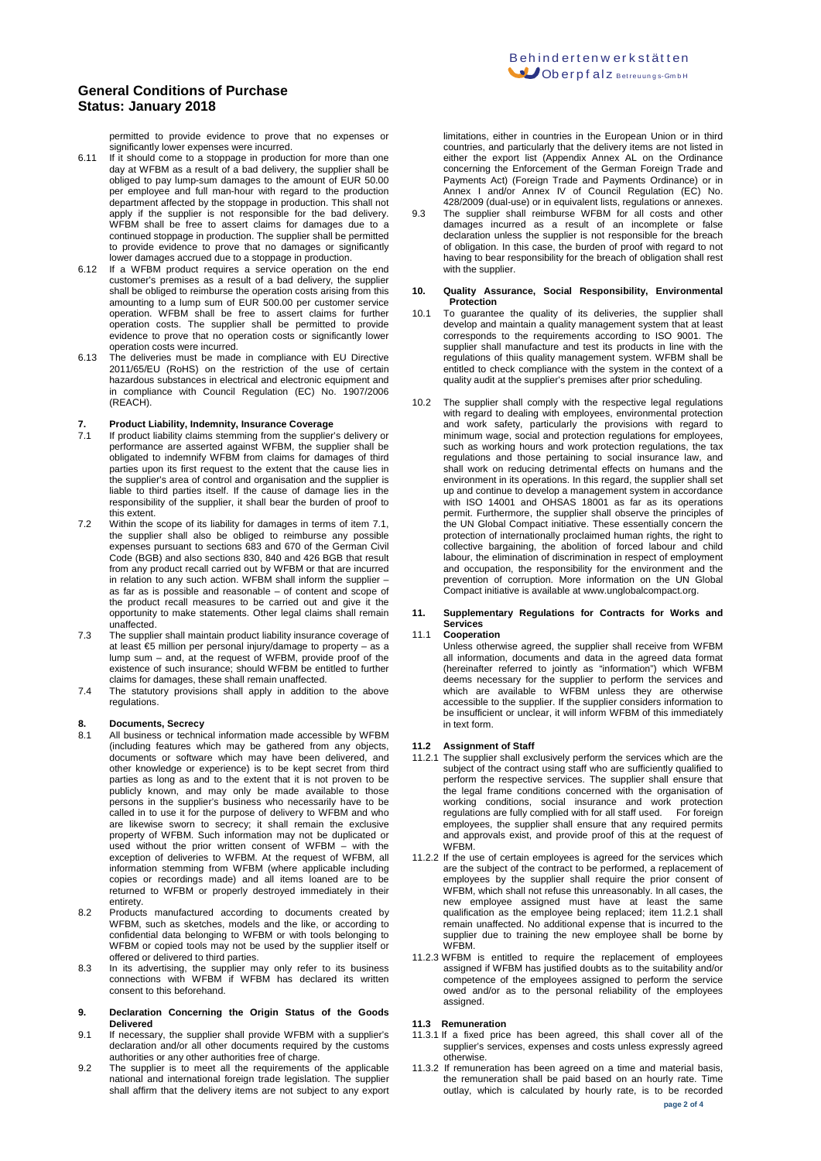permitted to provide evidence to prove that no expenses or significantly lower expenses were incurred.

- 6.11 If it should come to a stoppage in production for more than one day at WFBM as a result of a bad delivery, the supplier shall be obliged to pay lump-sum damages to the amount of EUR 50.00 per employee and full man-hour with regard to the production department affected by the stoppage in production. This shall not apply if the supplier is not responsible for the bad delivery. WFBM shall be free to assert claims for damages due to a continued stoppage in production. The supplier shall be permitted to provide evidence to prove that no damages or significantly lower damages accrued due to a stoppage in production.
- 6.12 If a WFBM product requires a service operation on the end customer's premises as a result of a bad delivery, the supplier shall be obliged to reimburse the operation costs arising from this amounting to a lump sum of EUR 500.00 per customer service operation. WFBM shall be free to assert claims for further operation costs. The supplier shall be permitted to provide evidence to prove that no operation costs or significantly lower operation costs were incurred.
- 6.13 The deliveries must be made in compliance with EU Directive 2011/65/EU (RoHS) on the restriction of the use of certain hazardous substances in electrical and electronic equipment and in compliance with Council Regulation (EC) No. 1907/2006 (REACH).

# **7. Product Liability, Indemnity, Insurance Coverage**

- 7.1 If product liability claims stemming from the supplier's delivery or performance are asserted against WFBM, the supplier shall be obligated to indemnify WFBM from claims for damages of third parties upon its first request to the extent that the cause lies in the supplier's area of control and organisation and the supplier is liable to third parties itself. If the cause of damage lies in the responsibility of the supplier, it shall bear the burden of proof to this extent.
- 7.2 Within the scope of its liability for damages in terms of item 7.1, the supplier shall also be obliged to reimburse any possible expenses pursuant to sections 683 and 670 of the German Civil Code (BGB) and also sections 830, 840 and 426 BGB that result from any product recall carried out by WFBM or that are incurred in relation to any such action. WFBM shall inform the supplier – as far as is possible and reasonable – of content and scope of the product recall measures to be carried out and give it the opportunity to make statements. Other legal claims shall remain unaffected.
- 7.3 The supplier shall maintain product liability insurance coverage of at least €5 million per personal injury/damage to property – as a lump sum – and, at the request of WFBM, provide proof of the existence of such insurance; should WFBM be entitled to further claims for damages, these shall remain unaffected.
- 7.4 The statutory provisions shall apply in addition to the above regulations.

# **8. Documents, Secrecy**

- All business or technical information made accessible by WFBM (including features which may be gathered from any objects, documents or software which may have been delivered, and other knowledge or experience) is to be kept secret from third parties as long as and to the extent that it is not proven to be publicly known, and may only be made available to those persons in the supplier's business who necessarily have to be called in to use it for the purpose of delivery to WFBM and who are likewise sworn to secrecy; it shall remain the exclusive property of WFBM. Such information may not be duplicated or used without the prior written consent of WFBM – with the exception of deliveries to WFBM. At the request of WFBM, all information stemming from WFBM (where applicable including copies or recordings made) and all items loaned are to be returned to WFBM or properly destroyed immediately in their entirety.
- 8.2 Products manufactured according to documents created by WFBM, such as sketches, models and the like, or according to confidential data belonging to WFBM or with tools belonging to WFBM or copied tools may not be used by the supplier itself or offered or delivered to third parties.
- 8.3 In its advertising, the supplier may only refer to its business connections with WFBM if WFBM has declared its written consent to this beforehand.

#### **9. Declaration Concerning the Origin Status of the Goods Delivered**

- 9.1 If necessary, the supplier shall provide WFBM with a supplier's declaration and/or all other documents required by the customs authorities or any other authorities free of charge.
- 9.2 The supplier is to meet all the requirements of the applicable national and international foreign trade legislation. The supplier shall affirm that the delivery items are not subject to any export

limitations, either in countries in the European Union or in third countries, and particularly that the delivery items are not listed in either the export list (Appendix Annex AL on the Ordinance concerning the Enforcement of the German Foreign Trade and Payments Act) (Foreign Trade and Payments Ordinance) or in Annex I and/or Annex IV of Council Regulation (EC) No. Affrica in angulation of the component to superintent (= -,<br>428/2009 (dual-use) or in equivalent lists, regulations or annexes.

9.3 The supplier shall reimburse WFBM for all costs and other damages incurred as a result of an incomplete or false declaration unless the supplier is not responsible for the breach of obligation. In this case, the burden of proof with regard to not having to bear responsibility for the breach of obligation shall rest with the supplier.

#### **10. Quality Assurance, Social Responsibility, Environmental Protection**

- 10.1 To guarantee the quality of its deliveries, the supplier shall develop and maintain a quality management system that at least corresponds to the requirements according to ISO 9001. The supplier shall manufacture and test its products in line with the regulations of thiis quality management system. WFBM shall be entitled to check compliance with the system in the context of a quality audit at the supplier's premises after prior scheduling.
- 10.2 The supplier shall comply with the respective legal regulations with regard to dealing with employees, environmental protection and work safety, particularly the provisions with regard to minimum wage, social and protection regulations for employees, such as working hours and work protection regulations, the tax regulations and those pertaining to social insurance law, and shall work on reducing detrimental effects on humans and the environment in its operations. In this regard, the supplier shall set up and continue to develop a management system in accordance with ISO 14001 and OHSAS 18001 as far as its operations permit. Furthermore, the supplier shall observe the principles of the UN Global Compact initiative. These essentially concern the protection of internationally proclaimed human rights, the right to collective bargaining, the abolition of forced labour and child labour, the elimination of discrimination in respect of employment and occupation, the responsibility for the environment and the prevention of corruption. More information on the UN Global Compact initiative is available at www.unglobalcompact.org.

#### **11. Supplementary Regulations for Contracts for Works and Services**

#### 11.1 **Cooperation**

Unless otherwise agreed, the supplier shall receive from WFBM all information, documents and data in the agreed data format (hereinafter referred to jointly as "information") which WFBM deems necessary for the supplier to perform the services and which are available to WFBM unless they are otherwise accessible to the supplier. If the supplier considers information to be insufficient or unclear, it will inform WFBM of this immediately in text form.

### **11.2 Assignment of Staff**

- 11.2.1 The supplier shall exclusively perform the services which are the subject of the contract using staff who are sufficiently qualified to perform the respective services. The supplier shall ensure that the legal frame conditions concerned with the organisation of working conditions, social insurance and work protection regulations are fully complied with for all staff used. For foreign employees, the supplier shall ensure that any required permits and approvals exist, and provide proof of this at the request of WFBM.
- 11.2.2 If the use of certain employees is agreed for the services which are the subject of the contract to be performed, a replacement of employees by the supplier shall require the prior consent of WFBM, which shall not refuse this unreasonably. In all cases, the new employee assigned must have at least the same qualification as the employee being replaced; item 11.2.1 shall remain unaffected. No additional expense that is incurred to the supplier due to training the new employee shall be borne by WFBM.
- 11.2.3 WFBM is entitled to require the replacement of employees assigned if WFBM has justified doubts as to the suitability and/or competence of the employees assigned to perform the service owed and/or as to the personal reliability of the employees assigned.

#### **11.3 Remuneration**

- 11.3.1 If a fixed price has been agreed, this shall cover all of the supplier's services, expenses and costs unless expressly agreed otherwise.
- 11.3.2 If remuneration has been agreed on a time and material basis, the remuneration shall be paid based on an hourly rate. Time outlay, which is calculated by hourly rate, is to be recorded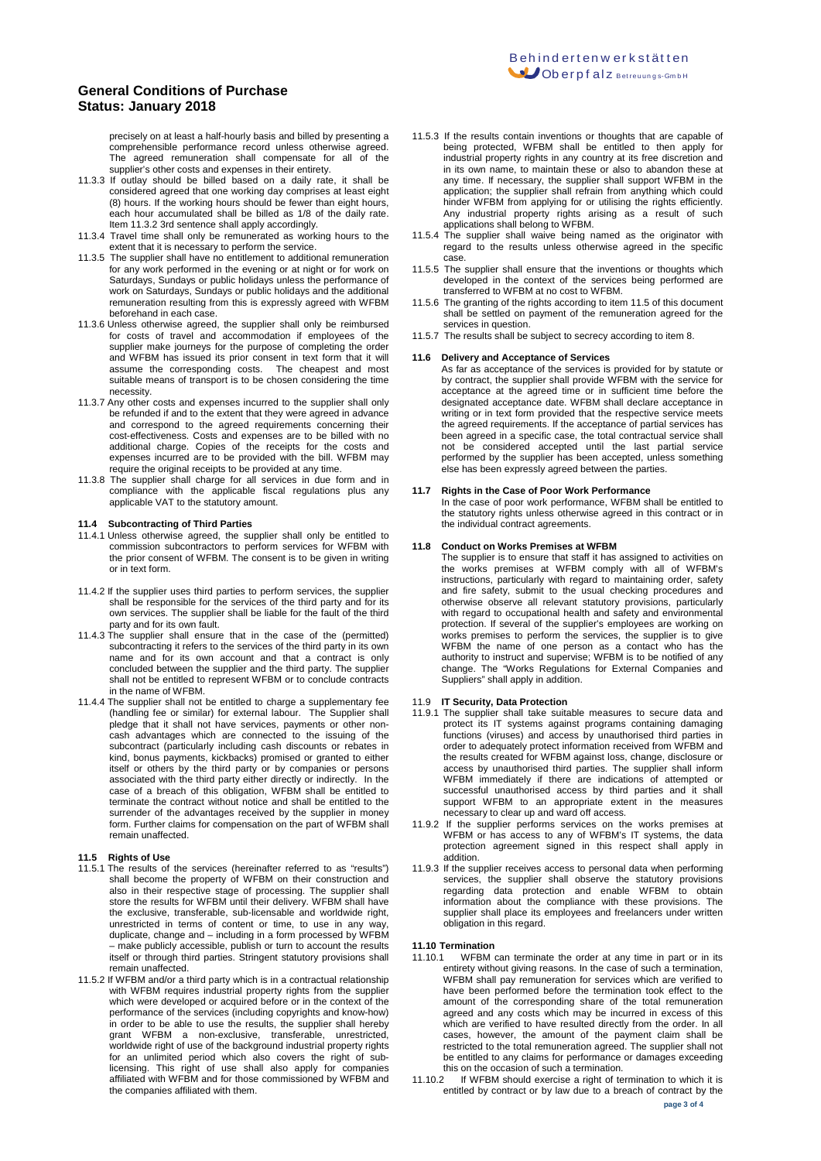precisely on at least a half-hourly basis and billed by presenting a comprehensible performance record unless otherwise agreed. The agreed remuneration shall compensate for all of the supplier's other costs and expenses in their entirety.

- 11.3.3 If outlay should be billed based on a daily rate, it shall be considered agreed that one working day comprises at least eight (8) hours. If the working hours should be fewer than eight hours, each hour accumulated shall be billed as 1/8 of the daily rate. Item 11.3.2 3rd sentence shall apply accordingly.
- 11.3.4 Travel time shall only be remunerated as working hours to the extent that it is necessary to perform the service.
- 11.3.5 The supplier shall have no entitlement to additional remuneration for any work performed in the evening or at night or for work on Saturdays, Sundays or public holidays unless the performance of work on Saturdays, Sundays or public holidays and the additional remuneration resulting from this is expressly agreed with WFBM beforehand in each case.
- 11.3.6 Unless otherwise agreed, the supplier shall only be reimbursed for costs of travel and accommodation if employees of the supplier make journeys for the purpose of completing the order and WFBM has issued its prior consent in text form that it will assume the corresponding costs. The cheapest and most suitable means of transport is to be chosen considering the time necessity.
- 11.3.7 Any other costs and expenses incurred to the supplier shall only be refunded if and to the extent that they were agreed in advance and correspond to the agreed requirements concerning their cost-effectiveness. Costs and expenses are to be billed with no additional charge. Copies of the receipts for the costs and expenses incurred are to be provided with the bill. WFBM may require the original receipts to be provided at any time.
- 11.3.8 The supplier shall charge for all services in due form and in compliance with the applicable fiscal regulations plus any applicable VAT to the statutory amount.

## **11.4 Subcontracting of Third Parties**

- 11.4.1 Unless otherwise agreed, the supplier shall only be entitled to commission subcontractors to perform services for WFBM with the prior consent of WFBM. The consent is to be given in writing or in text form.
- 11.4.2 If the supplier uses third parties to perform services, the supplier shall be responsible for the services of the third party and for its own services. The supplier shall be liable for the fault of the third party and for its own fault.
- 11.4.3 The supplier shall ensure that in the case of the (permitted) subcontracting it refers to the services of the third party in its own name and for its own account and that a contract is only concluded between the supplier and the third party. The supplier shall not be entitled to represent WFBM or to conclude contracts in the name of WFBM.
- 11.4.4 The supplier shall not be entitled to charge a supplementary fee (handling fee or similar) for external labour. The Supplier shall pledge that it shall not have services, payments or other noncash advantages which are connected to the issuing of the subcontract (particularly including cash discounts or rebates in kind, bonus payments, kickbacks) promised or granted to either itself or others by the third party or by companies or persons associated with the third party either directly or indirectly. In the case of a breach of this obligation, WFBM shall be entitled to terminate the contract without notice and shall be entitled to the surrender of the advantages received by the supplier in money form. Further claims for compensation on the part of WFBM shall remain unaffected.

- **11.5 Rights of Use** 11.5.1 The results of the services (hereinafter referred to as "results") shall become the property of WFBM on their construction and also in their respective stage of processing. The supplier shall store the results for WFBM until their delivery. WFBM shall have the exclusive, transferable, sub-licensable and worldwide right, unrestricted in terms of content or time, to use in any way, duplicate, change and – including in a form processed by WFBM – make publicly accessible, publish or turn to account the results itself or through third parties. Stringent statutory provisions shall remain unaffected.
- 11.5.2 If WFBM and/or a third party which is in a contractual relationship with WFBM requires industrial property rights from the supplier which were developed or acquired before or in the context of the performance of the services (including copyrights and know-how) in order to be able to use the results, the supplier shall hereby grant WFBM a non-exclusive, transferable, unrestricted, worldwide right of use of the background industrial property rights for an unlimited period which also covers the right of sublicensing. This right of use shall also apply for companies affiliated with WFBM and for those commissioned by WFBM and the companies affiliated with them.
- 11.5.3 If the results contain inventions or thoughts that are capable of being protected, WFBM shall be entitled to then apply for industrial property rights in any country at its free discretion and in its own name, to maintain these or also to abandon these at any time. If necessary, the supplier shall support WFBM in the application; the supplier shall refrain from anything which could hinder WFBM from applying for or utilising the rights efficiently. Any industrial property rights arising as a result of such applications shall belong to WFBM.
- 11.5.4 The supplier shall waive being named as the originator with regard to the results unless otherwise agreed in the specific case.
- 11.5.5 The supplier shall ensure that the inventions or thoughts which developed in the context of the services being performed are transferred to WFBM at no cost to WFBM.
- 11.5.6 The granting of the rights according to item 11.5 of this document shall be settled on payment of the remuneration agreed for the services in question.
- 11.5.7 The results shall be subject to secrecy according to item 8.

#### **11.6 Delivery and Acceptance of Services**

As far as acceptance of the services is provided for by statute or by contract, the supplier shall provide WFBM with the service for acceptance at the agreed time or in sufficient time before the designated acceptance date. WFBM shall declare acceptance in writing or in text form provided that the respective service meets the agreed requirements. If the acceptance of partial services has been agreed in a specific case, the total contractual service shall not be considered accepted until the last partial service performed by the supplier has been accepted, unless something else has been expressly agreed between the parties.

### **11.7 Rights in the Case of Poor Work Performance**

In the case of poor work performance, WFBM shall be entitled to the statutory rights unless otherwise agreed in this contract or in the individual contract agreements.

#### **11.8 Conduct on Works Premises at WFBM**

The supplier is to ensure that staff it has assigned to activities on the works premises at WFBM comply with all of WFBM's instructions, particularly with regard to maintaining order, safety and fire safety, submit to the usual checking procedures and otherwise observe all relevant statutory provisions, particularly with regard to occupational health and safety and environmental protection. If several of the supplier's employees are working on works premises to perform the services, the supplier is to give WFBM the name of one person as a contact who has the authority to instruct and supervise; WFBM is to be notified of any change. The "Works Regulations for External Companies and Suppliers" shall apply in addition.

#### 11.9 **IT Security, Data Protection**

- 11.9.1 The supplier shall take suitable measures to secure data and protect its IT systems against programs containing damaging functions (viruses) and access by unauthorised third parties in order to adequately protect information received from WFBM and the results created for WFBM against loss, change, disclosure or access by unauthorised third parties. The supplier shall inform WFBM immediately if there are indications of attempted or successful unauthorised access by third parties and it shall support WFBM to an appropriate extent in the measures necessary to clear up and ward off access.
- 11.9.2 If the supplier performs services on the works premises at WFBM or has access to any of WFBM's IT systems, the data protection agreement signed in this respect shall apply in addition.
- 11.9.3 If the supplier receives access to personal data when performing services, the supplier shall observe the statutory provisions regarding data protection and enable WFBM to obtain information about the compliance with these provisions. The supplier shall place its employees and freelancers under written obligation in this regard.

#### **11.10 Termination**

- 11.10.1 WFBM can terminate the order at any time in part or in its entirety without giving reasons. In the case of such a termination, WFBM shall pay remuneration for services which are verified to have been performed before the termination took effect to the amount of the corresponding share of the total remuneration agreed and any costs which may be incurred in excess of this which are verified to have resulted directly from the order. In all cases, however, the amount of the payment claim shall be restricted to the total remuneration agreed. The supplier shall not be entitled to any claims for performance or damages exceeding this on the occasion of such a termination.<br>11.10.2 If WFBM should exercise a right of te
- If WFBM should exercise a right of termination to which it is entitled by contract or by law due to a breach of contract by the